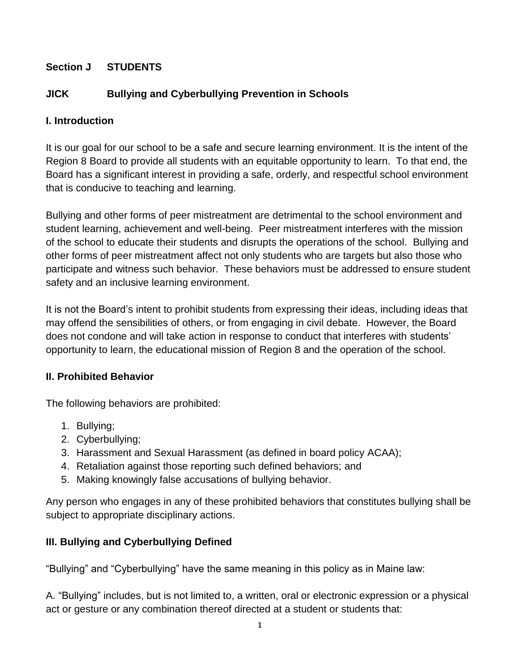## **Section J STUDENTS**

## **JICK Bullying and Cyberbullying Prevention in Schools**

#### **I. Introduction**

It is our goal for our school to be a safe and secure learning environment. It is the intent of the Region 8 Board to provide all students with an equitable opportunity to learn. To that end, the Board has a significant interest in providing a safe, orderly, and respectful school environment that is conducive to teaching and learning.

Bullying and other forms of peer mistreatment are detrimental to the school environment and student learning, achievement and well-being. Peer mistreatment interferes with the mission of the school to educate their students and disrupts the operations of the school. Bullying and other forms of peer mistreatment affect not only students who are targets but also those who participate and witness such behavior. These behaviors must be addressed to ensure student safety and an inclusive learning environment.

It is not the Board's intent to prohibit students from expressing their ideas, including ideas that may offend the sensibilities of others, or from engaging in civil debate. However, the Board does not condone and will take action in response to conduct that interferes with students' opportunity to learn, the educational mission of Region 8 and the operation of the school.

## **II. Prohibited Behavior**

The following behaviors are prohibited:

- 1. Bullying;
- 2. Cyberbullying;
- 3. Harassment and Sexual Harassment (as defined in board policy ACAA);
- 4. Retaliation against those reporting such defined behaviors; and
- 5. Making knowingly false accusations of bullying behavior.

Any person who engages in any of these prohibited behaviors that constitutes bullying shall be subject to appropriate disciplinary actions.

## **III. Bullying and Cyberbullying Defined**

"Bullying" and "Cyberbullying" have the same meaning in this policy as in Maine law:

A. "Bullying" includes, but is not limited to, a written, oral or electronic expression or a physical act or gesture or any combination thereof directed at a student or students that: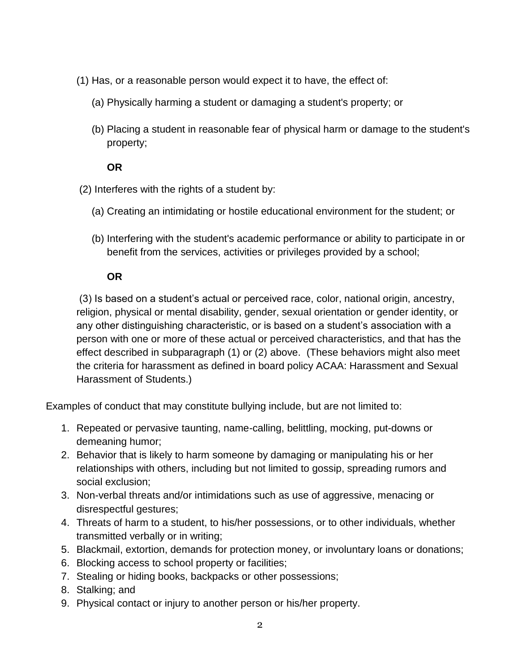- (1) Has, or a reasonable person would expect it to have, the effect of:
	- (a) Physically harming a student or damaging a student's property; or
	- (b) Placing a student in reasonable fear of physical harm or damage to the student's property;

#### **OR**

- (2) Interferes with the rights of a student by:
	- (a) Creating an intimidating or hostile educational environment for the student; or
	- (b) Interfering with the student's academic performance or ability to participate in or benefit from the services, activities or privileges provided by a school;

## **OR**

(3) Is based on a student's actual or perceived race, color, national origin, ancestry, religion, physical or mental disability, gender, sexual orientation or gender identity, or any other distinguishing characteristic, or is based on a student's association with a person with one or more of these actual or perceived characteristics, and that has the effect described in subparagraph (1) or (2) above. (These behaviors might also meet the criteria for harassment as defined in board policy ACAA: Harassment and Sexual Harassment of Students.)

Examples of conduct that may constitute bullying include, but are not limited to:

- 1. Repeated or pervasive taunting, name-calling, belittling, mocking, put-downs or demeaning humor;
- 2. Behavior that is likely to harm someone by damaging or manipulating his or her relationships with others, including but not limited to gossip, spreading rumors and social exclusion;
- 3. Non-verbal threats and/or intimidations such as use of aggressive, menacing or disrespectful gestures;
- 4. Threats of harm to a student, to his/her possessions, or to other individuals, whether transmitted verbally or in writing;
- 5. Blackmail, extortion, demands for protection money, or involuntary loans or donations;
- 6. Blocking access to school property or facilities;
- 7. Stealing or hiding books, backpacks or other possessions;
- 8. Stalking; and
- 9. Physical contact or injury to another person or his/her property.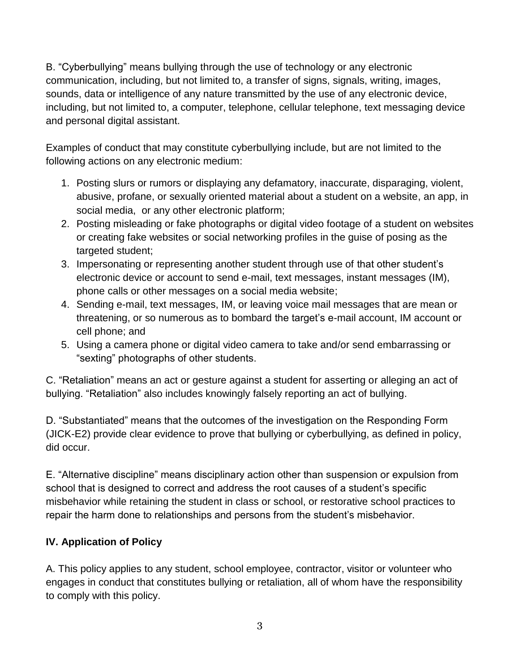B. "Cyberbullying" means bullying through the use of technology or any electronic communication, including, but not limited to, a transfer of signs, signals, writing, images, sounds, data or intelligence of any nature transmitted by the use of any electronic device, including, but not limited to, a computer, telephone, cellular telephone, text messaging device and personal digital assistant.

Examples of conduct that may constitute cyberbullying include, but are not limited to the following actions on any electronic medium:

- 1. Posting slurs or rumors or displaying any defamatory, inaccurate, disparaging, violent, abusive, profane, or sexually oriented material about a student on a website, an app, in social media, or any other electronic platform;
- 2. Posting misleading or fake photographs or digital video footage of a student on websites or creating fake websites or social networking profiles in the guise of posing as the targeted student;
- 3. Impersonating or representing another student through use of that other student's electronic device or account to send e-mail, text messages, instant messages (IM), phone calls or other messages on a social media website;
- 4. Sending e-mail, text messages, IM, or leaving voice mail messages that are mean or threatening, or so numerous as to bombard the target's e-mail account, IM account or cell phone; and
- 5. Using a camera phone or digital video camera to take and/or send embarrassing or "sexting" photographs of other students.

C. "Retaliation" means an act or gesture against a student for asserting or alleging an act of bullying. "Retaliation" also includes knowingly falsely reporting an act of bullying.

D. "Substantiated" means that the outcomes of the investigation on the Responding Form (JICK-E2) provide clear evidence to prove that bullying or cyberbullying, as defined in policy, did occur.

E. "Alternative discipline" means disciplinary action other than suspension or expulsion from school that is designed to correct and address the root causes of a student's specific misbehavior while retaining the student in class or school, or restorative school practices to repair the harm done to relationships and persons from the student's misbehavior.

# **IV. Application of Policy**

A. This policy applies to any student, school employee, contractor, visitor or volunteer who engages in conduct that constitutes bullying or retaliation, all of whom have the responsibility to comply with this policy.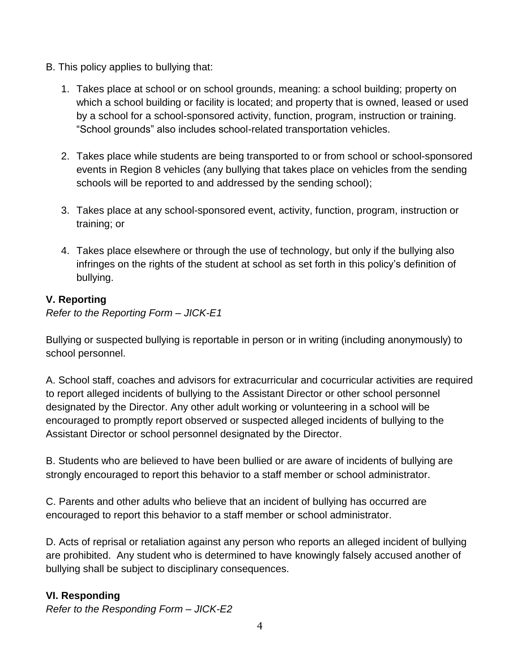- B. This policy applies to bullying that:
	- 1. Takes place at school or on school grounds, meaning: a school building; property on which a school building or facility is located; and property that is owned, leased or used by a school for a school-sponsored activity, function, program, instruction or training. "School grounds" also includes school-related transportation vehicles.
	- 2. Takes place while students are being transported to or from school or school-sponsored events in Region 8 vehicles (any bullying that takes place on vehicles from the sending schools will be reported to and addressed by the sending school);
	- 3. Takes place at any school-sponsored event, activity, function, program, instruction or training; or
	- 4. Takes place elsewhere or through the use of technology, but only if the bullying also infringes on the rights of the student at school as set forth in this policy's definition of bullying.

# **V. Reporting**

*Refer to the Reporting Form – JICK-E1*

Bullying or suspected bullying is reportable in person or in writing (including anonymously) to school personnel.

A. School staff, coaches and advisors for extracurricular and cocurricular activities are required to report alleged incidents of bullying to the Assistant Director or other school personnel designated by the Director. Any other adult working or volunteering in a school will be encouraged to promptly report observed or suspected alleged incidents of bullying to the Assistant Director or school personnel designated by the Director.

B. Students who are believed to have been bullied or are aware of incidents of bullying are strongly encouraged to report this behavior to a staff member or school administrator.

C. Parents and other adults who believe that an incident of bullying has occurred are encouraged to report this behavior to a staff member or school administrator.

D. Acts of reprisal or retaliation against any person who reports an alleged incident of bullying are prohibited. Any student who is determined to have knowingly falsely accused another of bullying shall be subject to disciplinary consequences.

# **VI. Responding**

*Refer to the Responding Form – JICK-E2*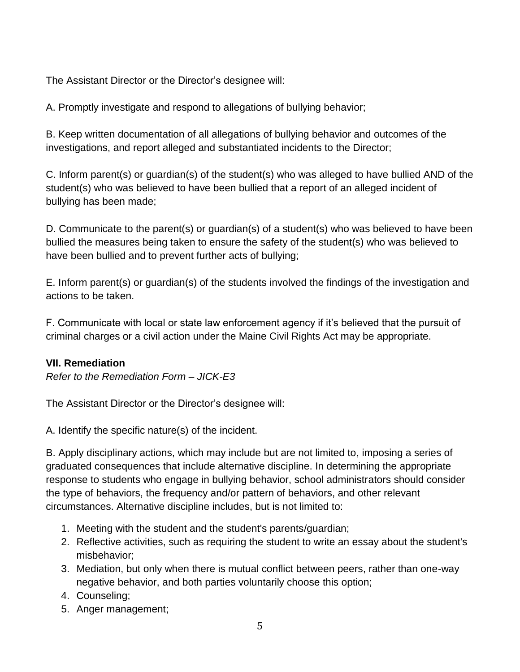The Assistant Director or the Director's designee will:

A. Promptly investigate and respond to allegations of bullying behavior;

B. Keep written documentation of all allegations of bullying behavior and outcomes of the investigations, and report alleged and substantiated incidents to the Director;

C. Inform parent(s) or guardian(s) of the student(s) who was alleged to have bullied AND of the student(s) who was believed to have been bullied that a report of an alleged incident of bullying has been made;

D. Communicate to the parent(s) or guardian(s) of a student(s) who was believed to have been bullied the measures being taken to ensure the safety of the student(s) who was believed to have been bullied and to prevent further acts of bullying;

E. Inform parent(s) or guardian(s) of the students involved the findings of the investigation and actions to be taken.

F. Communicate with local or state law enforcement agency if it's believed that the pursuit of criminal charges or a civil action under the Maine Civil Rights Act may be appropriate.

## **VII. Remediation**

*Refer to the Remediation Form – JICK-E3*

The Assistant Director or the Director's designee will:

A. Identify the specific nature(s) of the incident.

B. Apply disciplinary actions, which may include but are not limited to, imposing a series of graduated consequences that include alternative discipline. In determining the appropriate response to students who engage in bullying behavior, school administrators should consider the type of behaviors, the frequency and/or pattern of behaviors, and other relevant circumstances. Alternative discipline includes, but is not limited to:

- 1. Meeting with the student and the student's parents/guardian;
- 2. Reflective activities, such as requiring the student to write an essay about the student's misbehavior;
- 3. Mediation, but only when there is mutual conflict between peers, rather than one-way negative behavior, and both parties voluntarily choose this option;
- 4. Counseling;
- 5. Anger management;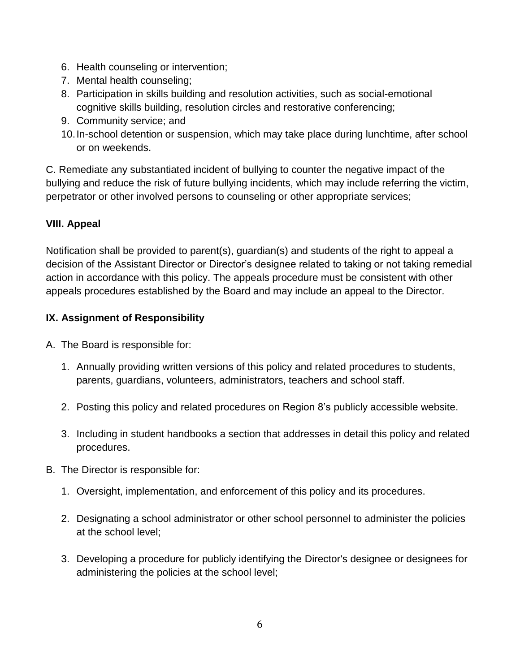- 6. Health counseling or intervention;
- 7. Mental health counseling;
- 8. Participation in skills building and resolution activities, such as social-emotional cognitive skills building, resolution circles and restorative conferencing;
- 9. Community service; and
- 10.In-school detention or suspension, which may take place during lunchtime, after school or on weekends.

C. Remediate any substantiated incident of bullying to counter the negative impact of the bullying and reduce the risk of future bullying incidents, which may include referring the victim, perpetrator or other involved persons to counseling or other appropriate services;

# **VIII. Appeal**

Notification shall be provided to parent(s), guardian(s) and students of the right to appeal a decision of the Assistant Director or Director's designee related to taking or not taking remedial action in accordance with this policy. The appeals procedure must be consistent with other appeals procedures established by the Board and may include an appeal to the Director.

## **IX. Assignment of Responsibility**

- A. The Board is responsible for:
	- 1. Annually providing written versions of this policy and related procedures to students, parents, guardians, volunteers, administrators, teachers and school staff.
	- 2. Posting this policy and related procedures on Region 8's publicly accessible website.
	- 3. Including in student handbooks a section that addresses in detail this policy and related procedures.
- B. The Director is responsible for:
	- 1. Oversight, implementation, and enforcement of this policy and its procedures.
	- 2. Designating a school administrator or other school personnel to administer the policies at the school level;
	- 3. Developing a procedure for publicly identifying the Director's designee or designees for administering the policies at the school level;